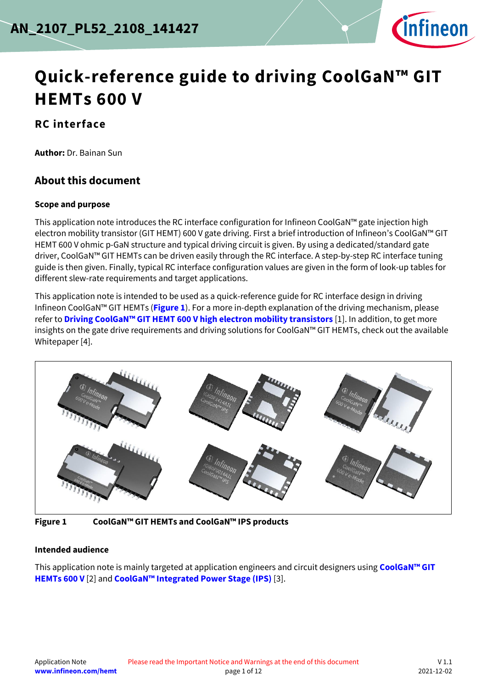

# **Quick-reference guide to driving CoolGaN™ GIT HEMTs 600 V**

### **RC interface**

**Author:** Dr. Bainan Sun

### <span id="page-0-1"></span>**About this document**

#### **Scope and purpose**

This application note introduces the RC interface configuration for Infineon CoolGaN™ gate injection high electron mobility transistor (GIT HEMT) 600 V gate driving. First a brief introduction of Infineon's CoolGaN™ GIT HEMT 600 V ohmic p-GaN structure and typical driving circuit is given. By using a dedicated/standard gate driver, CoolGaN™ GIT HEMTs can be driven easily through the RC interface. A step-by-step RC interface tuning guide is then given. Finally, typical RC interface configuration values are given in the form of look-up tables for different slew-rate requirements and target applications.

This application note is intended to be used as a quick-reference guide for RC interface design in driving Infineon CoolGaN™ GIT HEMTs (**[Figure 1](#page-0-0)**). For a more in-depth explanation of the driving mechanism, please refer to **Driving CoolGaN™ [GIT HEMT 600 V high electron mobility transistors](https://www.infineon.com/dgdl/Infineon-ApplicationNote_CoolGaN_600V_emode_HEMTs_Driving_CoolGaN_high_electron_mobility_transistors_with_EiceDRIVER_1EDI_Compact-ApplicationNotes-v02_00-EN.pdf?fileId=5546d46262b31d2e016368e4d7a90708)** [\[1\].](#page-8-0) In addition, to get more insights on the gate drive requirements and driving solutions for CoolGaN™ GIT HEMTs, check out the available Whitepape[r \[4\].](#page-8-1)





<span id="page-0-0"></span>**Figure 1 CoolGaN™ GIT HEMTs and CoolGaN™ IPS products**

#### **Intended audience**

This application note is mainly targeted at application engineers and circuit designers using **[CoolGaN](https://www.infineon.com/coolgan)™ GIT [HEMTs 600 V](https://www.infineon.com/coolgan)** [\[2\]](#page-8-2) and **CoolGaN™ [Integrated Power Stage \(IPS\)](https://www.infineon.com/coolgan-ips)** [\[3\].](#page-8-3)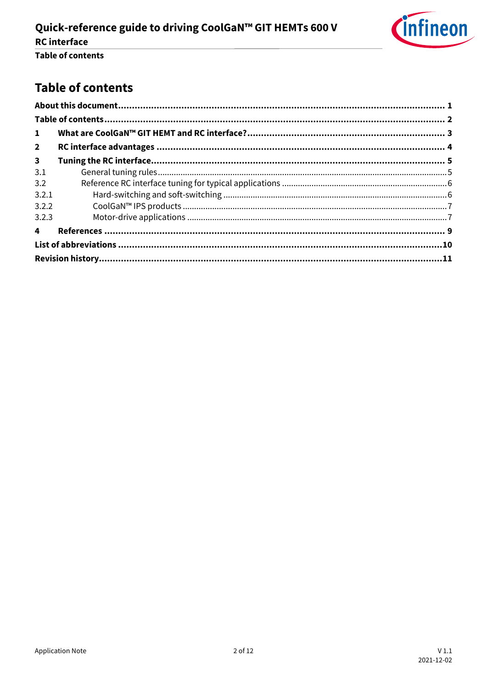

## <span id="page-1-0"></span>**Table of contents**

| $\mathbf{1}$   |  |  |  |  |  |
|----------------|--|--|--|--|--|
| $\overline{2}$ |  |  |  |  |  |
| $\mathbf{3}$   |  |  |  |  |  |
| 3.1            |  |  |  |  |  |
| 3.2            |  |  |  |  |  |
| 3.2.1          |  |  |  |  |  |
| 3.2.2          |  |  |  |  |  |
| 3.2.3          |  |  |  |  |  |
| $\overline{4}$ |  |  |  |  |  |
|                |  |  |  |  |  |
|                |  |  |  |  |  |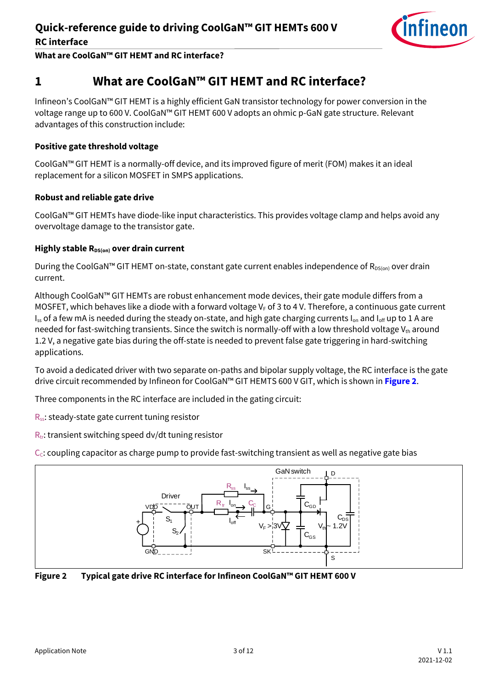

**What are CoolGaN™ GIT HEMT and RC interface?**

### <span id="page-2-0"></span>**1 What are CoolGaN™ GIT HEMT and RC interface?**

Infineon's CoolGaN™ GIT HEMT is a highly efficient GaN transistor technology for power conversion in the voltage range up to 600 V. CoolGaN™ GIT HEMT 600 V adopts an ohmic p-GaN gate structure. Relevant advantages of this construction include:

#### **Positive gate threshold voltage**

CoolGaN™ GIT HEMT is a normally-off device, and its improved figure of merit (FOM) makes it an ideal replacement for a silicon MOSFET in SMPS applications.

#### **Robust and reliable gate drive**

CoolGaN™ GIT HEMTs have diode-like input characteristics. This provides voltage clamp and helps avoid any overvoltage damage to the transistor gate.

#### **Highly stable R**<sub>DS(on)</sub> over drain current

During the CoolGaN™ GIT HEMT on-state, constant gate current enables independence of  $R_{DS(on)}$  over drain current.

Although CoolGaN™ GIT HEMTs are robust enhancement mode devices, their gate module differs from a MOSFET, which behaves like a diode with a forward voltage  $V_F$  of 3 to 4 V. Therefore, a continuous gate current  $I_{ss}$  of a few mA is needed during the steady on-state, and high gate charging currents  $I_{on}$  and  $I_{off}$  up to 1 A are needed for fast-switching transients. Since the switch is normally-off with a low threshold voltage  $V_{th}$  around 1.2 V, a negative gate bias during the off-state is needed to prevent false gate triggering in hard-switching applications.

To avoid a dedicated driver with two separate on-paths and bipolar supply voltage, the RC interface is the gate drive circuit recommended by Infineon for CoolGaN™ GIT HEMTS 600 V GIT, which is shown in **[Figure 2](#page-2-1)**.

Three components in the RC interface are included in the gating circuit:

 $R_{ss}$ : steady-state gate current tuning resistor

 $R_{tr}$ : transient switching speed dv/dt tuning resistor

 $C<sub>c</sub>$ : coupling capacitor as charge pump to provide fast-switching transient as well as negative gate bias



<span id="page-2-1"></span>**Figure 2 Typical gate drive RC interface for Infineon CoolGaN™ GIT HEMT 600 V**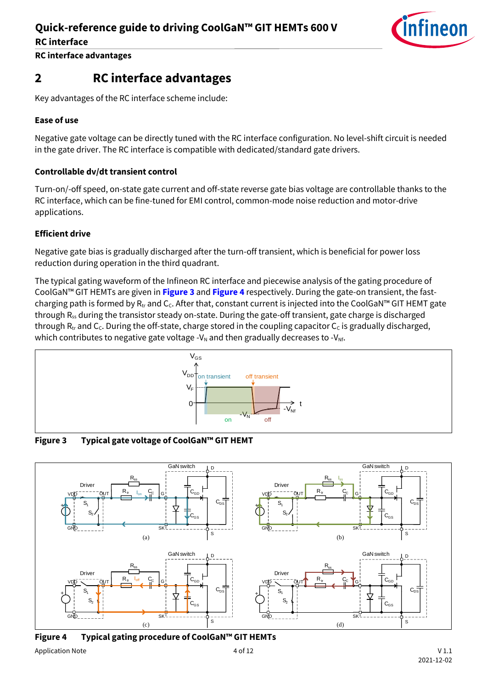

**RC interface advantages**

### <span id="page-3-0"></span>**2 RC interface advantages**

Key advantages of the RC interface scheme include:

### **Ease of use**

Negative gate voltage can be directly tuned with the RC interface configuration. No level-shift circuit is needed in the gate driver. The RC interface is compatible with dedicated/standard gate drivers.

#### **Controllable dv/dt transient control**

Turn-on/-off speed, on-state gate current and off-state reverse gate bias voltage are controllable thanks to the RC interface, which can be fine-tuned for EMI control, common-mode noise reduction and motor-drive applications.

#### **Efficient drive**

Negative gate bias is gradually discharged after the turn-off transient, which is beneficial for power loss reduction during operation in the third quadrant.

The typical gating waveform of the Infineon RC interface and piecewise analysis of the gating procedure of CoolGaN™ GIT HEMTs are given in **[Figure 3](#page-3-1)** and **[Figure 4](#page-3-2)** respectively. During the gate-on transient, the fastcharging path is formed by  $R_{tr}$  and  $C_c$ . After that, constant current is injected into the CoolGaN<sup>™</sup> GIT HEMT gate through R<sub>ss</sub> during the transistor steady on-state. During the gate-off transient, gate charge is discharged through  $R_{tr}$  and  $C_c$ . During the off-state, charge stored in the coupling capacitor  $C_c$  is gradually discharged, which contributes to negative gate voltage - $V_N$  and then gradually decreases to - $V_{Nf}$ .



<span id="page-3-1"></span>**Figure 3 Typical gate voltage of CoolGaN™ GIT HEMT**



<span id="page-3-2"></span>**Figure 4 Typical gating procedure of CoolGaN™ GIT HEMTs**

Application Note  $4$  of 12 V 1.1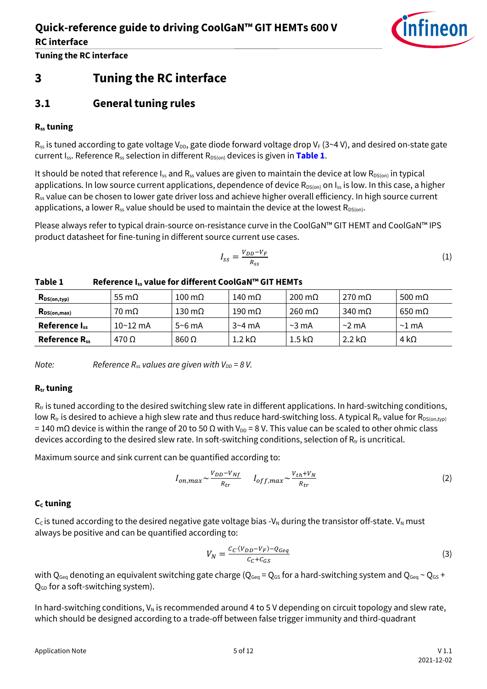

**Tuning the RC interface**

### <span id="page-4-0"></span>**3 Tuning the RC interface**

### <span id="page-4-1"></span>**3.1 General tuning rules**

#### **Rss tuning**

 $R_{ss}$  is tuned according to gate voltage V<sub>DD</sub>, gate diode forward voltage drop V<sub>F</sub> (3~4 V), and desired on-state gate current I<sub>ss</sub>. Reference R<sub>ss</sub> selection in different R<sub>DS(on)</sub> devices is given in [Table 1](#page-4-2).

It should be noted that reference  $I_{ss}$  and  $R_{ss}$  values are given to maintain the device at low  $R_{DS(on)}$  in typical applications. In low source current applications, dependence of device  $R_{DS(on)}$  on  $I_{ss}$  is low. In this case, a higher R<sub>ss</sub> value can be chosen to lower gate driver loss and achieve higher overall efficiency. In high source current applications, a lower  $R_{ss}$  value should be used to maintain the device at the lowest  $R_{DS(on)}$ .

Please always refer to typical drain-source on-resistance curve in the CoolGaN™ GIT HEMT and CoolGaN™ IPS product datasheet for fine-tuning in different source current use cases.

$$
I_{SS} = \frac{V_{DD} - V_F}{R_{SS}}\tag{1}
$$

| $R_{DS(on,typ)}$     | 55 m $\Omega$ | $100 \text{ m}\Omega$ | 140 m $\Omega$ | $200 \text{ m}\Omega$ | $270 \text{ m}\Omega$ | 500 m $\Omega$           |
|----------------------|---------------|-----------------------|----------------|-----------------------|-----------------------|--------------------------|
| $R_{DS(on,max)}$     | 70 mΩ         | 130 m $\Omega$        | 190 $m\Omega$  | $260 \text{ m}\Omega$ | 340 m $\Omega$        | $650 \,\mathrm{m}\Omega$ |
| Reference $I_{ss}$   | $10 - 12$ mA  | $5~6$ mA              | $3 - 4$ mA     | $\sim$ 3 mA           | $\sim$ 2 mA           | $\sim$ 1 mA              |
| <b>Reference Rss</b> | 470 Ω         | $860\Omega$           | 1.2 kΩ         | 1.5 k $\Omega$        | $2.2 k\Omega$         | 4 k $\Omega$             |

#### <span id="page-4-2"></span>**Table 1 Reference Iss value for different CoolGaN™ GIT HEMTs**

*Note: Reference R*<sub>*ss*</sub> *values are given with V<sub>DD</sub> = 8 V.* 

#### **Rtr tuning**

 $R_{tr}$  is tuned according to the desired switching slew rate in different applications. In hard-switching conditions, low R<sub>tr</sub> is desired to achieve a high slew rate and thus reduce hard-switching loss. A typical R<sub>tr</sub> value for R<sub>DS(on,typ)</sub>  $= 140$  mΩ device is within the range of 20 to 50 Ω with V<sub>DD</sub> = 8 V. This value can be scaled to other ohmic class devices according to the desired slew rate. In soft-switching conditions, selection of  $R_{tr}$  is uncritical.

Maximum source and sink current can be quantified according to:

$$
I_{on,max} \sim \frac{v_{DD} - v_{Nf}}{R_{tr}} \qquad I_{off,max} \sim \frac{v_{th} + v_N}{R_{tr}} \tag{2}
$$

#### **C<sup>C</sup> tuning**

 $C_c$  is tuned according to the desired negative gate voltage bias -V<sub>N</sub> during the transistor off-state. V<sub>N</sub> must always be positive and can be quantified according to:

$$
V_N = \frac{c_c \cdot (v_{DD} - v_F) - Q_{Geq}}{c_c + c_{GS}}\tag{3}
$$

with Q<sub>Geq</sub> denoting an equivalent switching gate charge (Q<sub>Geq</sub> = Q<sub>GS</sub> for a hard-switching system and Q<sub>Geq</sub> ~ Q<sub>GS</sub> +  $Q_{GD}$  for a soft-switching system).

In hard-switching conditions,  $V_N$  is recommended around 4 to 5 V depending on circuit topology and slew rate, which should be designed according to a trade-off between false trigger immunity and third-quadrant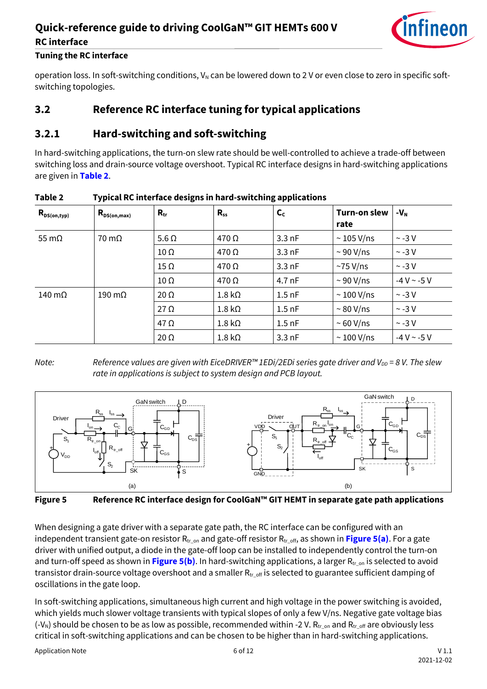### **Quick-reference guide to driving CoolGaN™ GIT HEMTs 600 V RC interface**



#### **Tuning the RC interface**

operation loss. In soft-switching conditions,  $V_N$  can be lowered down to 2 V or even close to zero in specific softswitching topologies.

### <span id="page-5-0"></span>**3.2 Reference RC interface tuning for typical applications**

### <span id="page-5-1"></span>**3.2.1 Hard-switching and soft-switching**

In hard-switching applications, the turn-on slew rate should be well-controlled to achieve a trade-off between switching loss and drain-source voltage overshoot. Typical RC interface designs in hard-switching applications are given in **[Table 2](#page-5-2)**.

| $R_{DS(on,typ)}$ | $R_{DS(on,max)}$     | $R_{tr}$     | $R_{ss}$      | $\mathsf{C}_{\mathsf{C}}$ | Turn-on slew<br>rate | $-VN$              |
|------------------|----------------------|--------------|---------------|---------------------------|----------------------|--------------------|
| 55 m $\Omega$    | $70 \text{ m}\Omega$ | $5.6 \Omega$ | $470\,\Omega$ | $3.3$ nF                  | $\sim$ 105 V/ns      | $\sim$ -3 V        |
|                  |                      | $10 \Omega$  | $470\,\Omega$ | $3.3$ nF                  | $\sim$ 90 V/ns       | $\sim$ -3 V        |
|                  |                      | $15 \Omega$  | $470\,\Omega$ | $3.3$ nF                  | $\sim$ 75 V/ns       | $\sim$ -3 V        |
|                  |                      | $10 \Omega$  | $470\,\Omega$ | 4.7 nF                    | $\sim$ 90 V/ns       | $-4 V$ ~ $-5 V$    |
| 140 $m\Omega$    | 190 $m\Omega$        | $20 \Omega$  | $1.8 k\Omega$ | $1.5$ nF                  | $\sim$ 100 V/ns      | $\sim$ -3 V        |
|                  |                      | $27 \Omega$  | $1.8 k\Omega$ | $1.5$ nF                  | $\sim$ 80 V/ns       | $\sim$ -3 V        |
|                  |                      | $47 \Omega$  | $1.8 k\Omega$ | $1.5$ nF                  | ~ 60 V/ns            | $\sim$ -3 V        |
|                  |                      | $20 \Omega$  | $1.8 k\Omega$ | $3.3$ nF                  | $\sim$ 100 V/ns      | $-4$ V $\sim$ -5 V |

#### <span id="page-5-2"></span>**Table 2 Typical RC interface designs in hard-switching applications**

*Note: Reference values are given with EiceDRIVER™ 1EDi/2EDi series gate driver and V<sub>DD</sub> = 8 V. The slew rate in applications is subject to system design and PCB layout.*



<span id="page-5-3"></span>**Figure 5 Reference RC interface design for CoolGaN™ GIT HEMT in separate gate path applications**

When designing a gate driver with a separate gate path, the RC interface can be configured with an independent transient gate-on resistor  $R_{tr, on}$  and gate-off resistor  $R_{tr, off}$ , as shown in **[Figure 5\(](#page-5-3)a)**. For a gate driver with unified output, a diode in the gate-off loop can be installed to independently control the turn-on and turn-off speed as shown in **[Figure 5\(](#page-5-3)b)**. In hard-switching applications, a larger R<sub>tron</sub> is selected to avoid transistor drain-source voltage overshoot and a smaller  $R_{tr\_off}$  is selected to guarantee sufficient damping of oscillations in the gate loop.

In soft-switching applications, simultaneous high current and high voltage in the power switching is avoided, which yields much slower voltage transients with typical slopes of only a few V/ns. Negative gate voltage bias (-V<sub>N</sub>) should be chosen to be as low as possible, recommended within -2 V. R<sub>tr\_on</sub> and R<sub>tr\_off</sub> are obviously less critical in soft-switching applications and can be chosen to be higher than in hard-switching applications.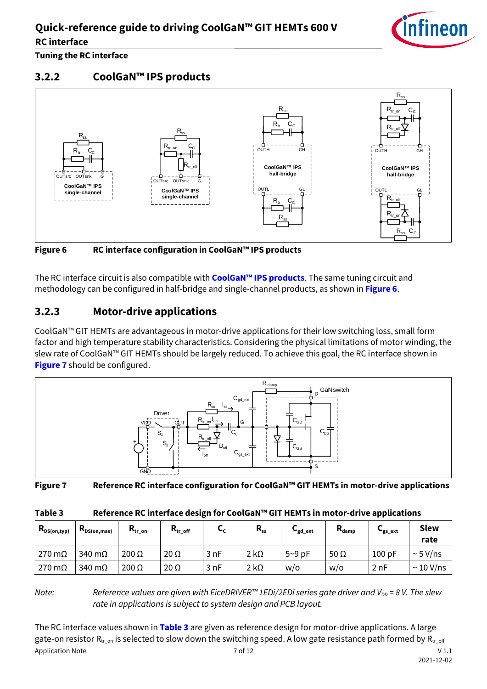

**Tuning the RC interface**

### <span id="page-6-0"></span>**3.2.2 CoolGaN™ IPS products**



<span id="page-6-2"></span>**Figure 6 RC interface configuration in CoolGaN™ IPS products**

The RC interface circuit is also compatible with **[CoolGaN™ IPS products](https://www.infineon.com/coolgan-ips)**. The same tuning circuit and methodology can be configured in half-bridge and single-channel products, as shown in **[Figure 6](#page-6-2)**.

### <span id="page-6-1"></span>**3.2.3 Motor-drive applications**

CoolGaN™ GIT HEMTs are advantageous in motor-drive applications for their low switching loss, small form factor and high temperature stability characteristics. Considering the physical limitations of motor winding, the slew rate of CoolGaN™ GIT HEMTs should be largely reduced. To achieve this goal, the RC interface shown in **[Figure 7](#page-6-3)** should be configured.



<span id="page-6-3"></span>**Figure 7 Reference RC interface configuration for CoolGaN™ GIT HEMTs in motor-drive applications**

<span id="page-6-4"></span>

| Table 3 | Reference RC interface design for CoolGaN™ GIT HEMTs in motor-drive applications |  |
|---------|----------------------------------------------------------------------------------|--|
|         |                                                                                  |  |

| $R_{DS(on,typ)}$      | $R_{DS(on,max)}$      | $R_{tr\_on}$ | $R_{tr\_off}$ | ີ    | $R_{ss}$    | <b>⊾</b> gd_ext | $R_{\text{damp}}$ | $\mathbf{v}_{\rm gs\_ext}$ | <b>Slew</b><br>rate |
|-----------------------|-----------------------|--------------|---------------|------|-------------|-----------------|-------------------|----------------------------|---------------------|
| $270 \text{ m}\Omega$ | $340 \text{ m}\Omega$ | $200 \Omega$ | $20 \Omega$   | 3 nF | $2 k\Omega$ | $5-9$ pF        | 50 $\Omega$       | 100pF                      | $\sim$ 5 V/ns       |
| $270 \text{ m}\Omega$ | 340 $m\Omega$         | $200 \Omega$ | $20 \Omega$   | 3 nF | $2 k\Omega$ | W/O             | w/o               | 2nF                        | $\sim$ 10 V/ns      |

*Reference values are given with EiceDRIVER™ 1EDi/2EDi series gate driver and V<sub>DD</sub> = 8 V. The slew Property <i>Reference values are given with EiceDRIVER™ 1EDi/2EDi series gate driver and V<sub>DD</sub> = 8 V. The slew rate in applications is subject to system design and PCB layout.*

Application Note  $\qquad \qquad \qquad$  7 of 12 V 1.1 The RC interface values shown in **[Table 3](#page-6-4)** are given as reference design for motor-drive applications. A large gate-on resistor  $R_{tr\_on}$  is selected to slow down the switching speed. A low gate resistance path formed by  $R_{tr\_off}$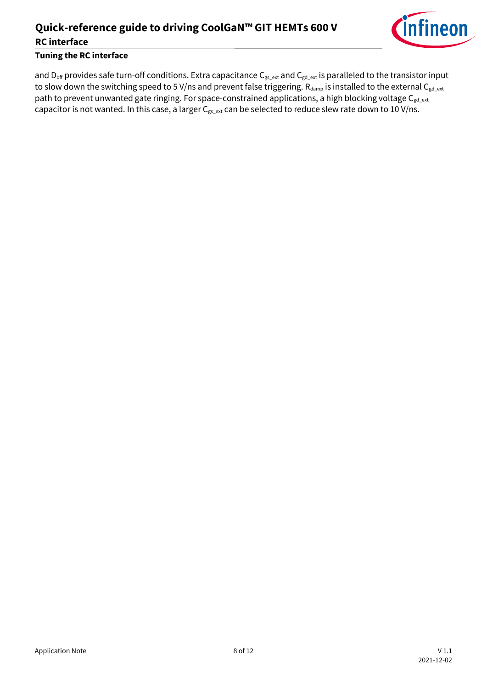## **Quick-reference guide to driving CoolGaN™ GIT HEMTs 600 V RC interface**



### **Tuning the RC interface**

and D<sub>off</sub> provides safe turn-off conditions. Extra capacitance C<sub>gs\_ext</sub> and C<sub>gd\_ext</sub> is paralleled to the transistor input to slow down the switching speed to 5 V/ns and prevent false triggering. Rdamp is installed to the external C<sub>gd\_ext</sub> path to prevent unwanted gate ringing. For space-constrained applications, a high blocking voltage  $C_{gd\_ext}$ capacitor is not wanted. In this case, a larger  $C_{gs\_ext}$  can be selected to reduce slew rate down to 10 V/ns.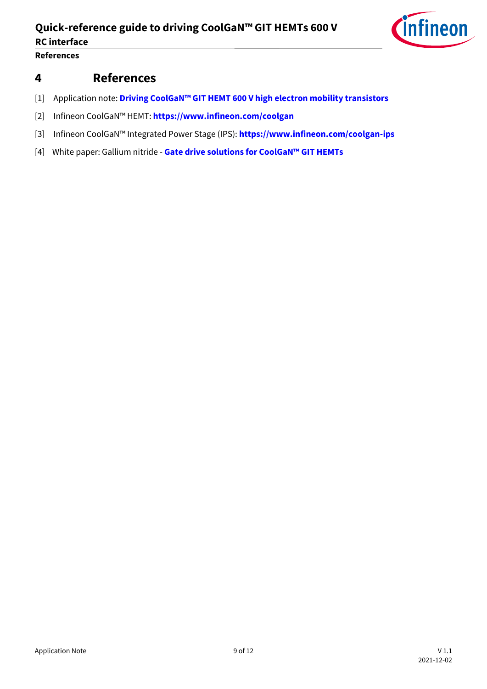

**References**

### <span id="page-8-4"></span>**4 References**

- <span id="page-8-0"></span>[1] Application note: **Driving CoolGaN™ [GIT HEMT 600 V high electron mobility transistors](https://www.infineon.com/dgdl/Infineon-ApplicationNote_CoolGaN_600V_emode_HEMTs_Driving_CoolGaN_high_electron_mobility_transistors_with_EiceDRIVER_1EDI_Compact-ApplicationNotes-v02_00-EN.pdf?fileId=5546d46262b31d2e016368e4d7a90708)**
- <span id="page-8-2"></span>[2] Infineon CoolGaN™ HEMT: **<https://www.infineon.com/coolgan>**
- <span id="page-8-3"></span>[3] Infineon CoolGaN™ Integrated Power Stage (IPS): **<https://www.infineon.com/coolgan-ips>**
- <span id="page-8-1"></span>[4] White paper: Gallium nitride - **[Gate drive solutions for CoolGaN™ GIT HEMTs](https://www.infineon.com/dgdlac/Infineon-Gallium_nitride_Gate_drive_solutions_for_CoolGaN_GIT_HEMTs-Whitepaper-v02_00-EN.pdf?fileId=5546d462766cbe86017684b68afc5360)**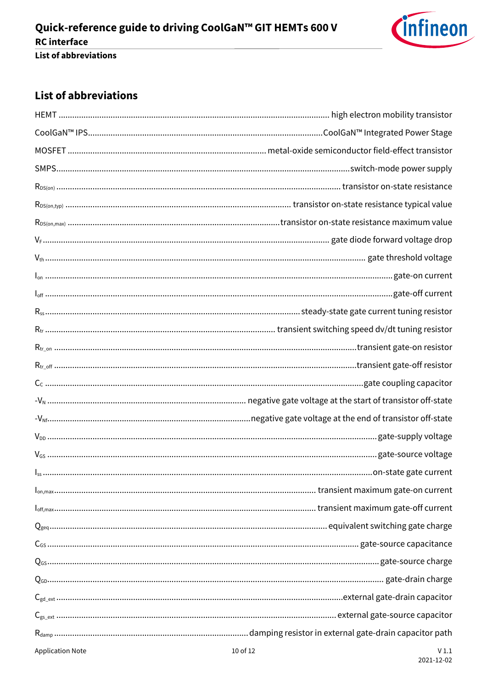

### <span id="page-9-0"></span>**List of abbreviations**

|                         | $I_{\text{off}}\text{.}\dots\text{.}\dots\text{.}\dots\text{.}\dots\text{.}\dots\text{.}\dots\text{.}\dots\text{.}\dots\text{.}\dots\text{.}\dots\text{.}\dots\text{.}\dots\text{.}\dots\text{.}\dots\text{.}\dots\text{.}$ |
|-------------------------|-----------------------------------------------------------------------------------------------------------------------------------------------------------------------------------------------------------------------------|
|                         |                                                                                                                                                                                                                             |
|                         |                                                                                                                                                                                                                             |
|                         |                                                                                                                                                                                                                             |
|                         |                                                                                                                                                                                                                             |
|                         |                                                                                                                                                                                                                             |
|                         |                                                                                                                                                                                                                             |
|                         |                                                                                                                                                                                                                             |
|                         | $V_{\text{DD}}\text{}{}\text{}{}\text{}{}\text{}{}\text{}{}\text{}{}\text{}{}\text{}{}\text{}\text{} \text{gate-supply voltage}$                                                                                            |
|                         |                                                                                                                                                                                                                             |
|                         |                                                                                                                                                                                                                             |
|                         |                                                                                                                                                                                                                             |
|                         |                                                                                                                                                                                                                             |
|                         |                                                                                                                                                                                                                             |
|                         |                                                                                                                                                                                                                             |
|                         |                                                                                                                                                                                                                             |
|                         |                                                                                                                                                                                                                             |
|                         |                                                                                                                                                                                                                             |
|                         |                                                                                                                                                                                                                             |
|                         |                                                                                                                                                                                                                             |
| <b>Application Note</b> | 10 of 12<br>V1.1                                                                                                                                                                                                            |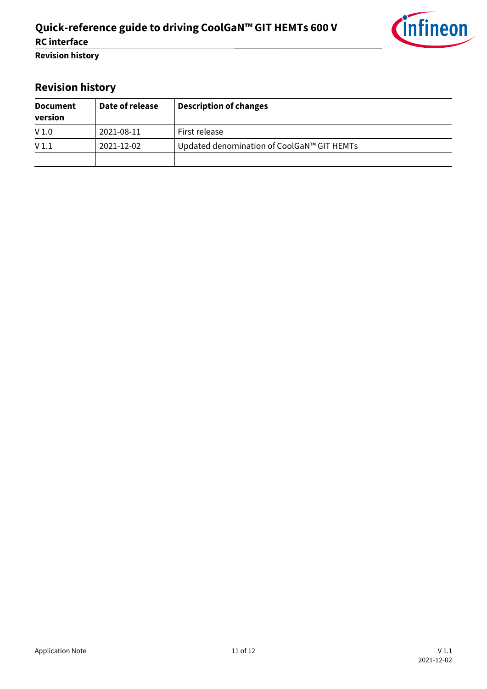

## <span id="page-10-0"></span>**Revision history**

| <b>Document</b><br>version | Date of release | <b>Description of changes</b>              |
|----------------------------|-----------------|--------------------------------------------|
| V <sub>1.0</sub>           | 2021-08-11      | First release                              |
| V <sub>1.1</sub>           | 2021-12-02      | Updated denomination of CoolGaN™ GIT HEMTs |
|                            |                 |                                            |